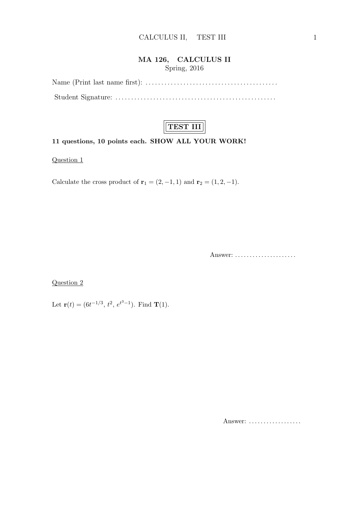#### MA 126, CALCULUS II Spring, 2016

Name (Print last name first): . . . . . . . . . . . . . . . . . . . . . . . . . . . . . . . . . . . . . . . . . . Student Signature: . . . . . . . . . . . . . . . . . . . . . . . . . . . . . . . . . . . . . . . . . . . . . . . . . . .



#### 11 questions, 10 points each. SHOW ALL YOUR WORK!

Question 1

Calculate the cross product of  $\mathbf{r}_1 = (2, -1, 1)$  and  $\mathbf{r}_2 = (1, 2, -1)$ .

Answer: . . . . . . . . . . . . . . . . . . . . .

Question 2

Let  $\mathbf{r}(t) = (6t^{-1/3}, t^2, e^{t^3-1})$ . Find **T**(1).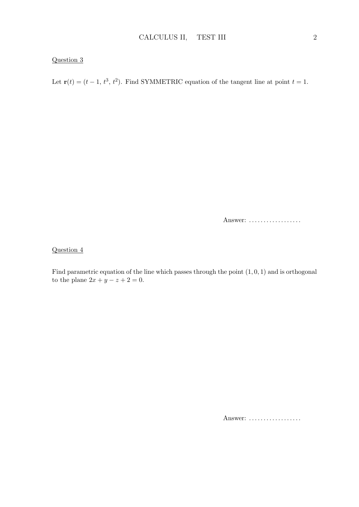Let  $\mathbf{r}(t) = (t-1, t^3, t^2)$ . Find SYMMETRIC equation of the tangent line at point  $t = 1$ .

Answer: ..................

# Question 4

Find parametric equation of the line which passes through the point  $(1, 0, 1)$  and is orthogonal to the plane  $2x + y - z + 2 = 0$ .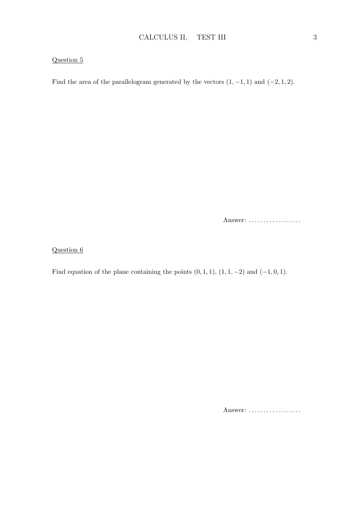Find the area of the parallelogram generated by the vectors  $(1, -1, 1)$  and  $(-2, 1, 2)$ .

Answer: ..................

Question 6

Find equation of the plane containing the points  $(0, 1, 1), (1, 1, -2)$  and  $(-1, 0, 1)$ .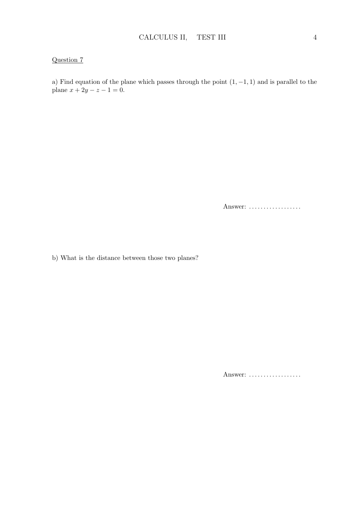a) Find equation of the plane which passes through the point  $(1, -1, 1)$  and is parallel to the plane  $x + 2y - z - 1 = 0$ .

Answer: ..................

b) What is the distance between those two planes?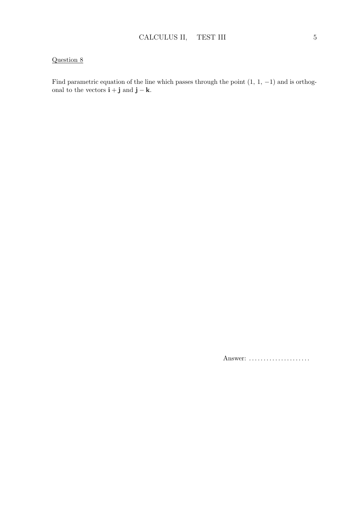Find parametric equation of the line which passes through the point  $(1, 1, -1)$  and is orthogonal to the vectors  $\mathbf{i} + \mathbf{j}$  and  $\mathbf{j} - \mathbf{k}$ .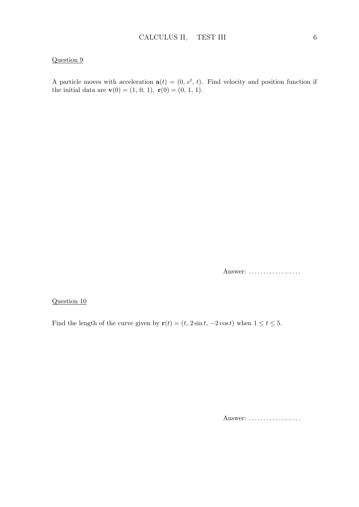A particle moves with acceleration  $\mathbf{a}(t) = (0, e^t, t)$ . Find velocity and position function if the initial data are  $\mathbf{v}(0) = (1, 0, 1), \mathbf{r}(0) = (0, 1, 1).$ 

Answer: ..................

#### Question 10

Find the length of the curve given by  $\mathbf{r}(t) = (t, 2\sin t, -2\cos t)$  when  $1 \le t \le 5$ .